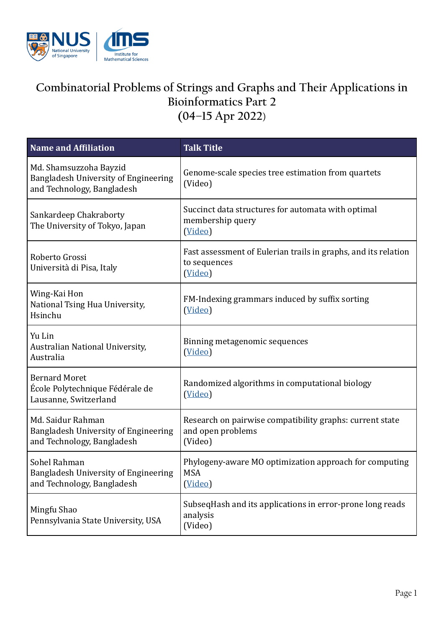

## **Combinatorial Problems of Strings and Graphs and Their Applications in Bioinformatics Part 2**

**(04–15 Apr 2022**)

| <b>Name and Affiliation</b>                                                                  | <b>Talk Title</b>                                                                         |
|----------------------------------------------------------------------------------------------|-------------------------------------------------------------------------------------------|
| Md. Shamsuzzoha Bayzid<br>Bangladesh University of Engineering<br>and Technology, Bangladesh | Genome-scale species tree estimation from quartets<br>(Video)                             |
| Sankardeep Chakraborty<br>The University of Tokyo, Japan                                     | Succinct data structures for automata with optimal<br>membership query<br>(Video)         |
| Roberto Grossi<br>Università di Pisa, Italy                                                  | Fast assessment of Eulerian trails in graphs, and its relation<br>to sequences<br>(Video) |
| Wing-Kai Hon<br>National Tsing Hua University,<br>Hsinchu                                    | FM-Indexing grammars induced by suffix sorting<br>(Video)                                 |
| Yu Lin<br>Australian National University,<br>Australia                                       | Binning metagenomic sequences<br>(Video)                                                  |
| <b>Bernard Moret</b><br>École Polytechnique Fédérale de<br>Lausanne, Switzerland             | Randomized algorithms in computational biology<br>(Video)                                 |
| Md. Saidur Rahman<br>Bangladesh University of Engineering<br>and Technology, Bangladesh      | Research on pairwise compatibility graphs: current state<br>and open problems<br>(Video)  |
| Sohel Rahman<br>Bangladesh University of Engineering<br>and Technology, Bangladesh           | Phylogeny-aware MO optimization approach for computing<br><b>MSA</b><br>(Video)           |
| Mingfu Shao<br>Pennsylvania State University, USA                                            | SubseqHash and its applications in error-prone long reads<br>analysis<br>(Video)          |